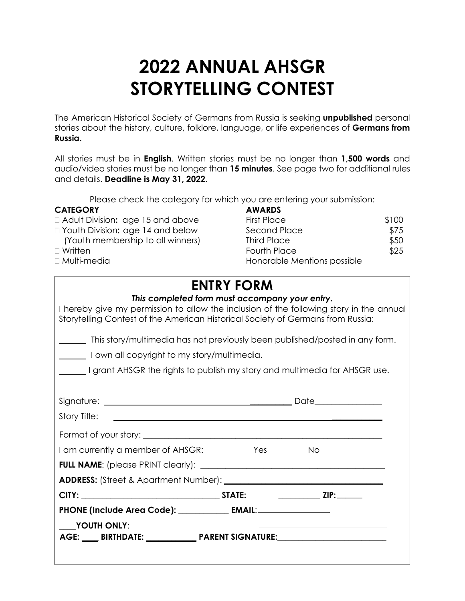# **2022 ANNUAL AHSGR STORYTELLING CONTEST**

The American Historical Society of Germans from Russia is seeking **unpublished** personal stories about the history, culture, folklore, language, or life experiences of **Germans from Russia.**

All stories must be in **English**. Written stories must be no longer than **1,500 words** and audio/video stories must be no longer than **15 minutes**. See page two for additional rules and details. **Deadline is May 31, 2022.**

Please check the category for which you are entering your submission:

#### **CATEGORY**

- **Adult Division: age 15 and above**
- **The Youth Division: age 14 and below**
- (Youth membership to all winners)
- 
- $\Box$  Multi-media

| CATEGORY                           | <b>AWARDS</b>               |       |
|------------------------------------|-----------------------------|-------|
| □ Adult Division: age 15 and above | <b>First Place</b>          | \$100 |
| □ Youth Division: age 14 and below | Second Place                | \$75  |
| (Youth membership to all winners)  | Third Place                 | \$50  |
| □ Written.                         | <b>Fourth Place</b>         | \$25  |
| □ Multi-media                      | Honorable Mentions possible |       |

### **ENTRY FORM**

| This completed form must accompany your entry.<br>I hereby give my permission to allow the inclusion of the following story in the annual<br>Storytelling Contest of the American Historical Society of Germans from Russia: |  |  |  |  |
|------------------------------------------------------------------------------------------------------------------------------------------------------------------------------------------------------------------------------|--|--|--|--|
| This story/multimedia has not previously been published/posted in any form.                                                                                                                                                  |  |  |  |  |
| I own all copyright to my story/multimedia.                                                                                                                                                                                  |  |  |  |  |
| grant AHSGR the rights to publish my story and multimedia for AHSGR use.                                                                                                                                                     |  |  |  |  |
|                                                                                                                                                                                                                              |  |  |  |  |
|                                                                                                                                                                                                                              |  |  |  |  |
|                                                                                                                                                                                                                              |  |  |  |  |
|                                                                                                                                                                                                                              |  |  |  |  |
| I am currently a member of AHSGR: ——————————————————— No                                                                                                                                                                     |  |  |  |  |
|                                                                                                                                                                                                                              |  |  |  |  |
|                                                                                                                                                                                                                              |  |  |  |  |
|                                                                                                                                                                                                                              |  |  |  |  |
|                                                                                                                                                                                                                              |  |  |  |  |
| YOUTH ONLY:<br>the contract of the contract of the contract of the contract of the contract of<br>AGE: ___ BIRTHDATE: ____________ PARENT SIGNATURE:______________________________                                           |  |  |  |  |
| PHONE (Include Area Code): _____________ EMAIL: ________________________________                                                                                                                                             |  |  |  |  |